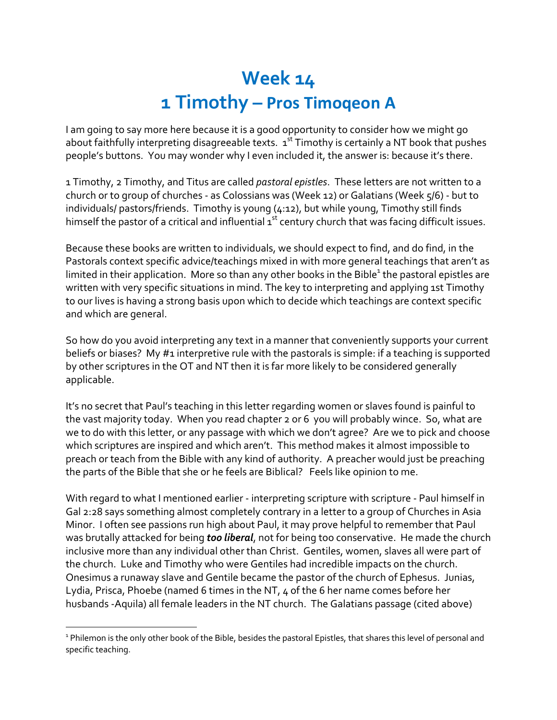## **Week 14 1 Timothy – Pros Timoqeon A**

I am going to say more here because it is a good opportunity to consider how we might go about faithfully interpreting disagreeable texts.  $1<sup>st</sup>$  Timothy is certainly a NT book that pushes people's buttons. You may wonder why I even included it, the answer is: because it's there.

1 Timothy, 2 Timothy, and Titus are called *pastoral epistles*. These letters are not written to a church or to group of churches - as Colossians was (Week 12) or Galatians (Week 5/6) - but to individuals/ pastors/friends. Timothy is young (4:12), but while young, Timothy still finds himself the pastor of a critical and influential 1<sup>st</sup> century church that was facing difficult issues.

Because these books are written to individuals, we should expect to find, and do find, in the Pastorals context specific advice/teachings mixed in with more general teachings that aren't as limited in their application. More so than any other books in the Bible<sup>1</sup> the pastoral epistles are written with very specific situations in mind. The key to interpreting and applying 1st Timothy to our lives is having a strong basis upon which to decide which teachings are context specific and which are general.

So how do you avoid interpreting any text in a manner that conveniently supports your current beliefs or biases? My #1 interpretive rule with the pastorals is simple: if a teaching is supported by other scriptures in the OT and NT then it is far more likely to be considered generally applicable.

It's no secret that Paul's teaching in this letter regarding women or slaves found is painful to the vast majority today. When you read chapter 2 or 6 you will probably wince. So, what are we to do with this letter, or any passage with which we don't agree? Are we to pick and choose which scriptures are inspired and which aren't. This method makes it almost impossible to preach or teach from the Bible with any kind of authority. A preacher would just be preaching the parts of the Bible that she or he feels are Biblical? Feels like opinion to me.

With regard to what I mentioned earlier - interpreting scripture with scripture - Paul himself in Gal 2:28 says something almost completely contrary in a letter to a group of Churches in Asia Minor. I often see passions run high about Paul, it may prove helpful to remember that Paul was brutally attacked for being *too liberal*, not for being too conservative. He made the church inclusive more than any individual other than Christ. Gentiles, women, slaves all were part of the church. Luke and Timothy who were Gentiles had incredible impacts on the church. Onesimus a runaway slave and Gentile became the pastor of the church of Ephesus. Junias, Lydia, Prisca, Phoebe (named 6 times in the NT, 4 of the 6 her name comes before her husbands -Aquila) all female leaders in the NT church. The Galatians passage (cited above)

<sup>&</sup>lt;sup>1</sup> Philemon is the only other book of the Bible, besides the pastoral Epistles, that shares this level of personal and specific teaching.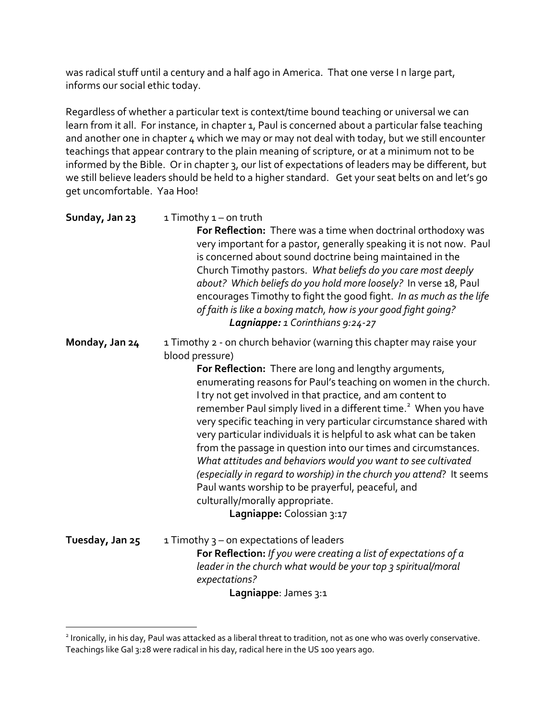was radical stuff until a century and a half ago in America. That one verse I n large part, informs our social ethic today.

Regardless of whether a particular text is context/time bound teaching or universal we can learn from it all. For instance, in chapter 1, Paul is concerned about a particular false teaching and another one in chapter 4 which we may or may not deal with today, but we still encounter teachings that appear contrary to the plain meaning of scripture, or at a minimum not to be informed by the Bible. Or in chapter 3, our list of expectations of leaders may be different, but we still believe leaders should be held to a higher standard. Get your seat belts on and let's go get uncomfortable. Yaa Hoo!

| Sunday, Jan 23 | $1$ Timothy $1$ – on truth<br>For Reflection: There was a time when doctrinal orthodoxy was<br>very important for a pastor, generally speaking it is not now. Paul<br>is concerned about sound doctrine being maintained in the<br>Church Timothy pastors. What beliefs do you care most deeply<br>about? Which beliefs do you hold more loosely? In verse 18, Paul<br>encourages Timothy to fight the good fight. In as much as the life<br>of faith is like a boxing match, how is your good fight going?<br>Lagniappe: 1 Corinthians 9:24-27 |
|----------------|-------------------------------------------------------------------------------------------------------------------------------------------------------------------------------------------------------------------------------------------------------------------------------------------------------------------------------------------------------------------------------------------------------------------------------------------------------------------------------------------------------------------------------------------------|
| Monday, Jan 24 | 1 Timothy 2 - on church behavior (warning this chapter may raise your<br>blood pressure)                                                                                                                                                                                                                                                                                                                                                                                                                                                        |
|                | <b>Fig. Buffered the Florida and Lateral Department Community</b>                                                                                                                                                                                                                                                                                                                                                                                                                                                                               |

**For Reflection:** There are long and lengthy arguments, enumerating reasons for Paul's teaching on women in the church. I try not get involved in that practice, and am content to remember Paul simply lived in a different time.<sup>2</sup> When you have very specific teaching in very particular circumstance shared with very particular individuals it is helpful to ask what can be taken from the passage in question into our times and circumstances. *What attitudes and behaviors would you want to see cultivated (especially in regard to worship) in the church you attend*? It seems Paul wants worship to be prayerful, peaceful, and culturally/morally appropriate.

**Lagniappe:** Colossian 3:17

| Tuesday, Jan 25 | 1 Timothy $3$ – on expectations of leaders                                |
|-----------------|---------------------------------------------------------------------------|
|                 | <b>For Reflection:</b> If you were creating a list of expectations of $a$ |
|                 | leader in the church what would be your top 3 spiritual/moral             |
|                 | expectations?                                                             |
|                 | Lagniappe: James 3:1                                                      |

<sup>&</sup>lt;sup>2</sup> Ironically, in his day, Paul was attacked as a liberal threat to tradition, not as one who was overly conservative. Teachings like Gal 3:28 were radical in his day, radical here in the US 100 years ago.